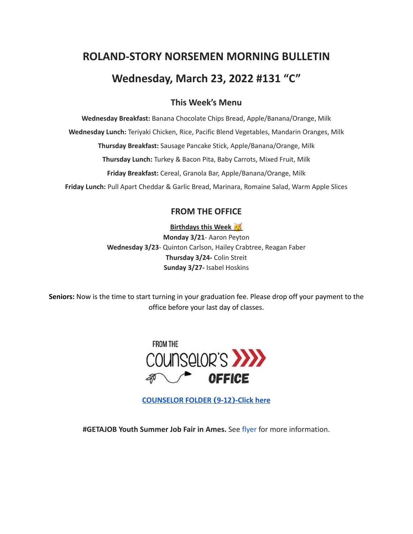# **ROLAND-STORY NORSEMEN MORNING BULLETIN Wednesday, March 23, 2022 #131 "C"**

# **This Week's Menu**

**Wednesday Breakfast:** Banana Chocolate Chips Bread, Apple/Banana/Orange, Milk **Wednesday Lunch:** Teriyaki Chicken, Rice, Pacific Blend Vegetables, Mandarin Oranges, Milk **Thursday Breakfast:** Sausage Pancake Stick, Apple/Banana/Orange, Milk **Thursday Lunch:** Turkey & Bacon Pita, Baby Carrots, Mixed Fruit, Milk **Friday Breakfast:** Cereal, Granola Bar, Apple/Banana/Orange, Milk **Friday Lunch:** Pull Apart Cheddar & Garlic Bread, Marinara, Romaine Salad, Warm Apple Slices

# **FROM THE OFFICE**

**Birthdays this Week**

**Monday 3/21**- Aaron Peyton **Wednesday 3/23**- Quinton Carlson, Hailey Crabtree, Reagan Faber **Thursday 3/24-** Colin Streit **Sunday 3/27-** Isabel Hoskins

**Seniors:** Now is the time to start turning in your graduation fee. Please drop off your payment to the office before your last day of classes.



**[COUNSELOR FOLDER](https://docs.google.com/document/d/1vmwczNPbDzXe9vFaG5LJMQ7NYDv-i4oQJHybqA65TUc/edit?usp=sharing) (9-12)-Click here**

**#GETAJOB Youth Summer Job Fair in Ames.** See [flyer](https://drive.google.com/file/d/19PRxPHgJE0Wyssa45Q2YrSued6K3SDaH/view?usp=sharing) for more information.